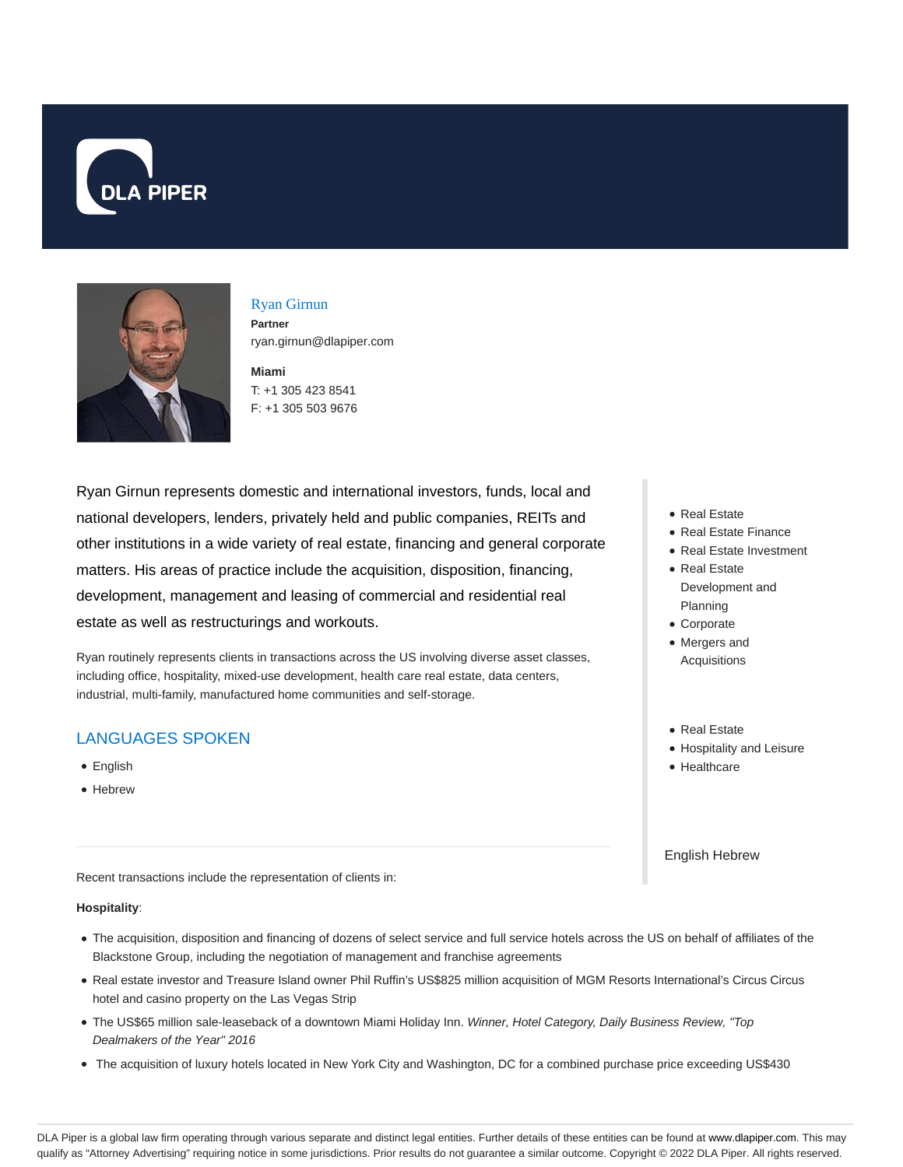



# Ryan Girnun

**Partner** ryan.girnun@dlapiper.com

**Miami** T: +1 305 423 8541 F: +1 305 503 9676

Ryan Girnun represents domestic and international investors, funds, local and national developers, lenders, privately held and public companies, REITs and other institutions in a wide variety of real estate, financing and general corporate matters. His areas of practice include the acquisition, disposition, financing, development, management and leasing of commercial and residential real estate as well as restructurings and workouts.

Ryan routinely represents clients in transactions across the US involving diverse asset classes, including office, hospitality, mixed-use development, health care real estate, data centers, industrial, multi-family, manufactured home communities and self-storage.

# LANGUAGES SPOKEN

- **•** English
- Hebrew

Recent transactions include the representation of clients in:

### **Hospitality**:

- The acquisition, disposition and financing of dozens of select service and full service hotels across the US on behalf of affiliates of the Blackstone Group, including the negotiation of management and franchise agreements
- Real estate investor and Treasure Island owner Phil Ruffin's US\$825 million acquisition of MGM Resorts International's Circus Circus hotel and casino property on the Las Vegas Strip
- . The US\$65 million sale-leaseback of a downtown Miami Holiday Inn. Winner, Hotel Category, Daily Business Review, "Top Dealmakers of the Year" 2016
- The acquisition of luxury hotels located in New York City and Washington, DC for a combined purchase price exceeding US\$430
- Real Estate
- Real Estate Finance
- Real Estate Investment
- Real Estate Development and Planning
- Corporate
- Mergers and Acquisitions
- Real Estate
- Hospitality and Leisure
- Healthcare

English Hebrew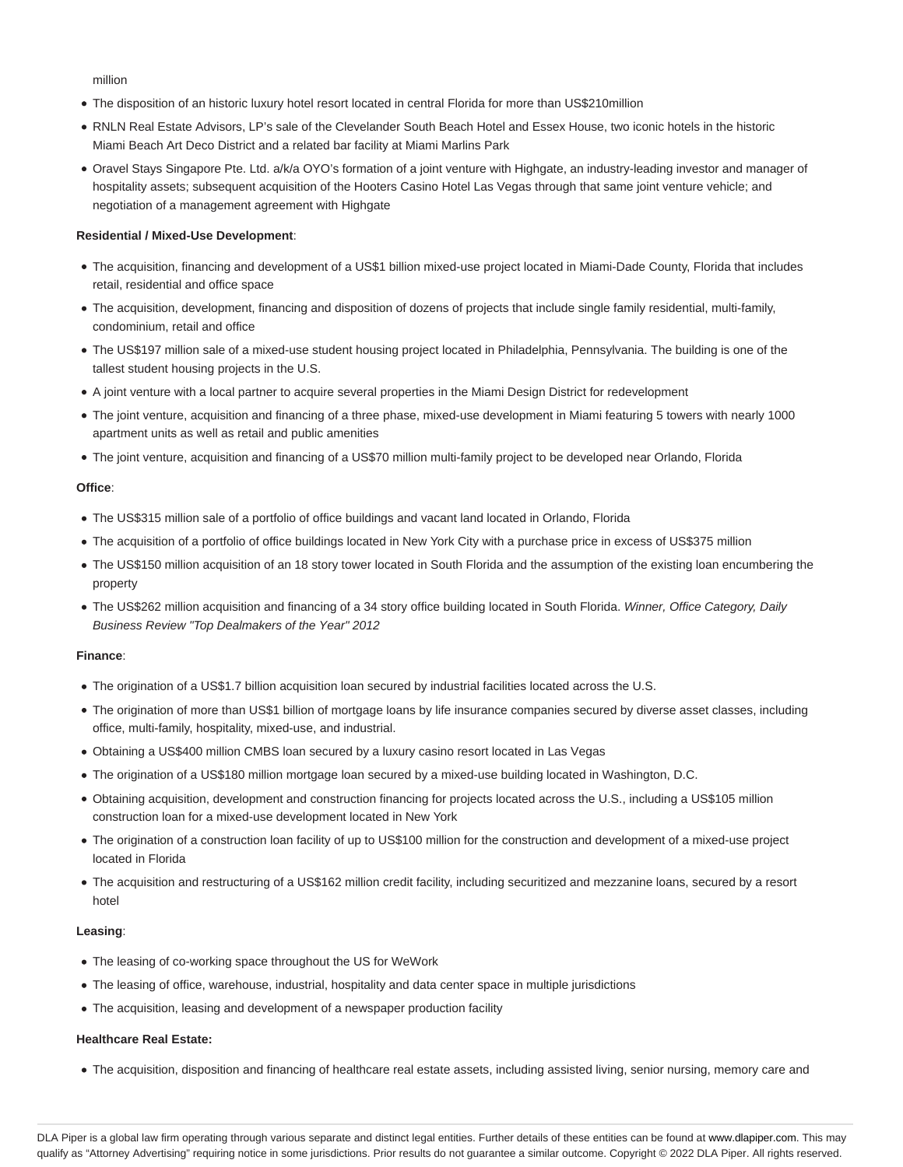million

- The disposition of an historic luxury hotel resort located in central Florida for more than US\$210million
- RNLN Real Estate Advisors, LP's sale of the Clevelander South Beach Hotel and Essex House, two iconic hotels in the historic Miami Beach Art Deco District and a related bar facility at Miami Marlins Park
- Oravel Stays Singapore Pte. Ltd. a/k/a OYO's formation of a joint venture with Highgate, an industry-leading investor and manager of hospitality assets; subsequent acquisition of the Hooters Casino Hotel Las Vegas through that same joint venture vehicle; and negotiation of a management agreement with Highgate

### **Residential / Mixed-Use Development**:

- The acquisition, financing and development of a US\$1 billion mixed-use project located in Miami-Dade County, Florida that includes retail, residential and office space
- The acquisition, development, financing and disposition of dozens of projects that include single family residential, multi-family, condominium, retail and office
- The US\$197 million sale of a mixed-use student housing project located in Philadelphia, Pennsylvania. The building is one of the tallest student housing projects in the U.S.
- A joint venture with a local partner to acquire several properties in the Miami Design District for redevelopment
- The joint venture, acquisition and financing of a three phase, mixed-use development in Miami featuring 5 towers with nearly 1000 apartment units as well as retail and public amenities
- The joint venture, acquisition and financing of a US\$70 million multi-family project to be developed near Orlando, Florida

### **Office**:

- The US\$315 million sale of a portfolio of office buildings and vacant land located in Orlando, Florida
- The acquisition of a portfolio of office buildings located in New York City with a purchase price in excess of US\$375 million
- The US\$150 million acquisition of an 18 story tower located in South Florida and the assumption of the existing loan encumbering the property
- The US\$262 million acquisition and financing of a 34 story office building located in South Florida. Winner, Office Category, Daily Business Review "Top Dealmakers of the Year" 2012

#### **Finance**:

- The origination of a US\$1.7 billion acquisition loan secured by industrial facilities located across the U.S.
- The origination of more than US\$1 billion of mortgage loans by life insurance companies secured by diverse asset classes, including office, multi-family, hospitality, mixed-use, and industrial.
- Obtaining a US\$400 million CMBS loan secured by a luxury casino resort located in Las Vegas
- The origination of a US\$180 million mortgage loan secured by a mixed-use building located in Washington, D.C.
- Obtaining acquisition, development and construction financing for projects located across the U.S., including a US\$105 million construction loan for a mixed-use development located in New York
- The origination of a construction loan facility of up to US\$100 million for the construction and development of a mixed-use project located in Florida
- The acquisition and restructuring of a US\$162 million credit facility, including securitized and mezzanine loans, secured by a resort hotel

#### **Leasing**:

- The leasing of co-working space throughout the US for WeWork
- The leasing of office, warehouse, industrial, hospitality and data center space in multiple jurisdictions
- The acquisition, leasing and development of a newspaper production facility

#### **Healthcare Real Estate:**

The acquisition, disposition and financing of healthcare real estate assets, including assisted living, senior nursing, memory care and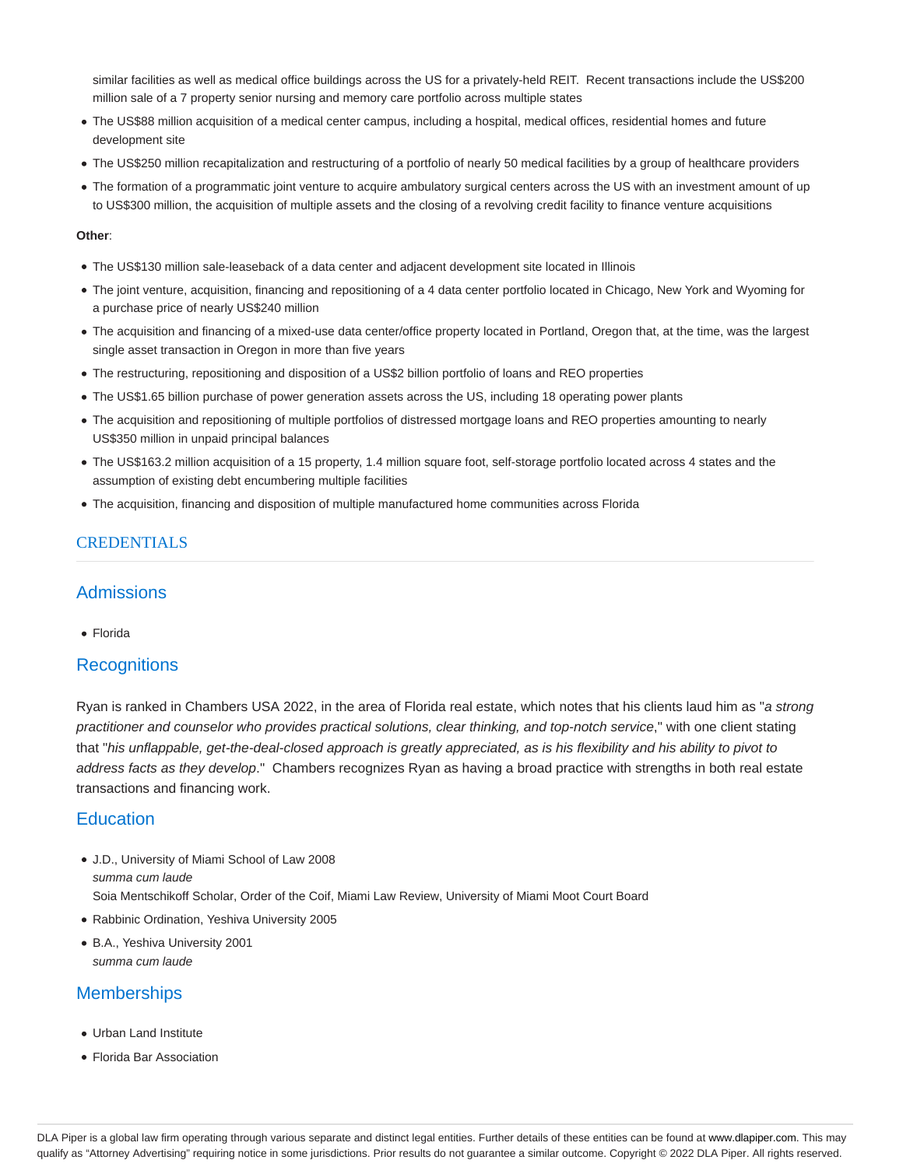similar facilities as well as medical office buildings across the US for a privately-held REIT. Recent transactions include the US\$200 million sale of a 7 property senior nursing and memory care portfolio across multiple states

- The US\$88 million acquisition of a medical center campus, including a hospital, medical offices, residential homes and future development site
- The US\$250 million recapitalization and restructuring of a portfolio of nearly 50 medical facilities by a group of healthcare providers
- The formation of a programmatic joint venture to acquire ambulatory surgical centers across the US with an investment amount of up to US\$300 million, the acquisition of multiple assets and the closing of a revolving credit facility to finance venture acquisitions

### **Other**:

- The US\$130 million sale-leaseback of a data center and adjacent development site located in Illinois
- The joint venture, acquisition, financing and repositioning of a 4 data center portfolio located in Chicago, New York and Wyoming for a purchase price of nearly US\$240 million
- The acquisition and financing of a mixed-use data center/office property located in Portland, Oregon that, at the time, was the largest single asset transaction in Oregon in more than five years
- The restructuring, repositioning and disposition of a US\$2 billion portfolio of loans and REO properties
- The US\$1.65 billion purchase of power generation assets across the US, including 18 operating power plants
- The acquisition and repositioning of multiple portfolios of distressed mortgage loans and REO properties amounting to nearly US\$350 million in unpaid principal balances
- The US\$163.2 million acquisition of a 15 property, 1.4 million square foot, self-storage portfolio located across 4 states and the assumption of existing debt encumbering multiple facilities
- The acquisition, financing and disposition of multiple manufactured home communities across Florida

### **CREDENTIALS**

### Admissions

Florida

### **Recognitions**

Ryan is ranked in Chambers USA 2022, in the area of Florida real estate, which notes that his clients laud him as "a strong practitioner and counselor who provides practical solutions, clear thinking, and top-notch service," with one client stating that "his unflappable, get-the-deal-closed approach is greatly appreciated, as is his flexibility and his ability to pivot to address facts as they develop." Chambers recognizes Ryan as having a broad practice with strengths in both real estate transactions and financing work.

### **Education**

- J.D., University of Miami School of Law 2008 summa cum laude Soia Mentschikoff Scholar, Order of the Coif, Miami Law Review, University of Miami Moot Court Board
- Rabbinic Ordination, Yeshiva University 2005
- B.A., Yeshiva University 2001 summa cum laude

### **Memberships**

- Urban Land Institute
- Florida Bar Association